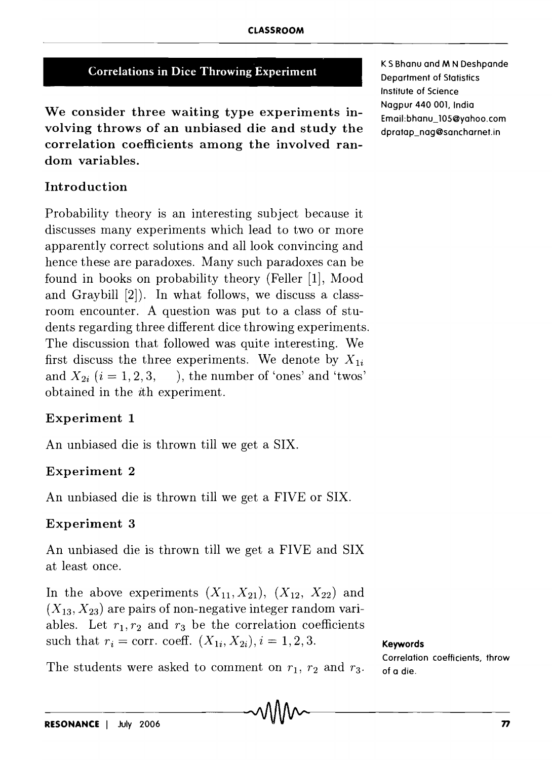## Correlations in Dice Throwing Experiment

We consider three waiting type experiments involving throws of an unbiased die and study the correlation coefficients among the involved random variables.

K S Bhanu and M N Deshpande Department of Statistics Institute of Science Nagpur 440 001, India Email:bhanu\_105@yahoo.com dpratap\_nag@sancharnet.in

## Introduction

Probability theory is an interesting subject because it discusses many experiments which lead to two or more apparently correct solutions and all look convincing and hence these are paradoxes. Many such paradoxes can be found in books on probability theory (Feller [1], Mood and Graybill [2]). In what follows, we discuss a classroom encounter. A question was put to a class of students regarding three different dice throwing experiments. The discussion that followed was quite interesting. We first discuss the three experiments. We denote by  $X_{1i}$ and  $X_{2i}$   $(i = 1, 2, 3, ...)$ , the number of 'ones' and 'twos' obtained in the ith experiment.

#### Experiment 1

An unbiased die is thrown till we get a SIX.

#### Experiment 2

An unbiased die is thrown till we get a FIVE or SIX.

#### Experiment 3

An unbiased die is thrown till we get a FIVE and SIX at least once.

In the above experiments  $(X_{11}, X_{21})$ ,  $(X_{12}, X_{22})$  and  $(X_{13}, X_{23})$  are pairs of non-negative integer random variables. Let  $r_1, r_2$  and  $r_3$  be the correlation coefficients such that  $r_i = \text{corr. coeff. } (X_{1i}, X_{2i}), i = 1, 2, 3.$ 

Keywords Correlation coefficients, throw of a die.

The students were asked to comment on  $r_1$ ,  $r_2$  and  $r_3$ .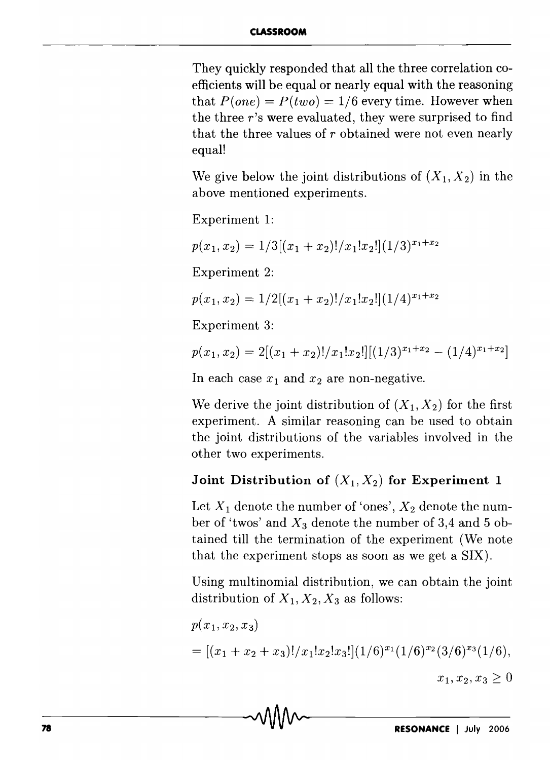They quickly responded that all the three correlation coefficients will be equal or nearly equal with the reasoning that  $P(one) = P(two) = 1/6$  every time. However when the three *r's* were evaluated, they were surprised to find that the three values of *r* obtained were not even nearly equal!

We give below the joint distributions of  $(X_1, X_2)$  in the above mentioned experiments.

Experiment 1:

 $p(x_1, x_2) = 1/3[(x_1 + x_2)!/x_1!x_2!](1/3)^{x_1+x_2}$ 

Experiment 2:

 $p(x_1, x_2) = 1/2[(x_1 + x_2)!/x_1!x_2!](1/4)^{x_1+x_2}$ 

Experiment 3:

$$
p(x_1, x_2) = 2[(x_1 + x_2)!/x_1!x_2!][(1/3)^{x_1+x_2} - (1/4)^{x_1+x_2}]
$$

In each case  $x_1$  and  $x_2$  are non-negative.

We derive the joint distribution of  $(X_1, X_2)$  for the first experiment. A similar reasoning can be used to obtain the joint distributions of the variables involved in the other two experiments.

# Joint Distribution of  $(X_1, X_2)$  for Experiment 1

Let  $X_1$  denote the number of 'ones',  $X_2$  denote the number of 'twos' and  $X_3$  denote the number of 3,4 and 5 obtained till the termination of the experiment (We note that the experiment stops as soon as we get a SIX).

Using multinomial distribution, we can obtain the joint distribution of  $X_1, X_2, X_3$  as follows:

$$
p(x_1, x_2, x_3)
$$
  
= [(x<sub>1</sub> + x<sub>2</sub> + x<sub>3</sub>)!/x<sub>1</sub>!x<sub>2</sub>!x<sub>3</sub>!](1/6)<sup>x<sub>1</sub></sup>(1/6)<sup>x<sub>2</sub></sup>(3/6)<sup>x<sub>3</sub></sup>(1/6),  
x<sub>1</sub>, x<sub>2</sub>, x<sub>3</sub>  $\geq$  0